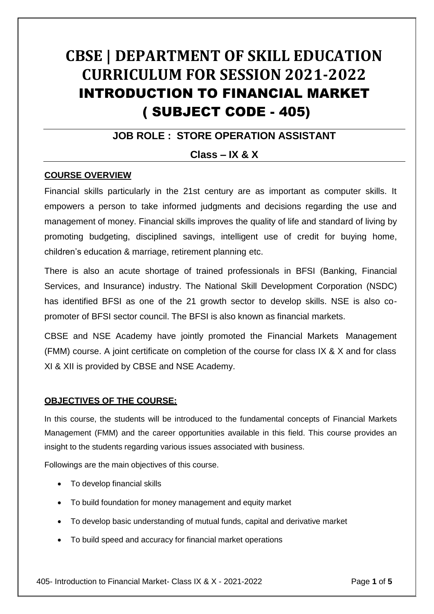# **CBSE | DEPARTMENT OF SKILL EDUCATION CURRICULUM FOR SESSION 2021-2022** INTRODUCTION TO FINANCIAL MARKET ( SUBJECT CODE - 405)

#### **JOB ROLE : STORE OPERATION ASSISTANT**

#### **Class – IX & X**

#### **COURSE OVERVIEW**

Financial skills particularly in the 21st century are as important as computer skills. It empowers a person to take informed judgments and decisions regarding the use and management of money. Financial skills improves the quality of life and standard of living by promoting budgeting, disciplined savings, intelligent use of credit for buying home, children's education & marriage, retirement planning etc.

There is also an acute shortage of trained professionals in BFSI (Banking, Financial Services, and Insurance) industry. The National Skill Development Corporation (NSDC) has identified BFSI as one of the 21 growth sector to develop skills. NSE is also copromoter of BFSI sector council. The BFSI is also known as financial markets.

CBSE and NSE Academy have jointly promoted the Financial Markets Management (FMM) course. A joint certificate on completion of the course for class IX & X and for class XI & XII is provided by CBSE and NSE Academy.

#### **OBJECTIVES OF THE COURSE:**

In this course, the students will be introduced to the fundamental concepts of Financial Markets Management (FMM) and the career opportunities available in this field. This course provides an insight to the students regarding various issues associated with business.

Followings are the main objectives of this course.

- To develop financial skills
- To build foundation for money management and equity market
- To develop basic understanding of mutual funds, capital and derivative market
- To build speed and accuracy for financial market operations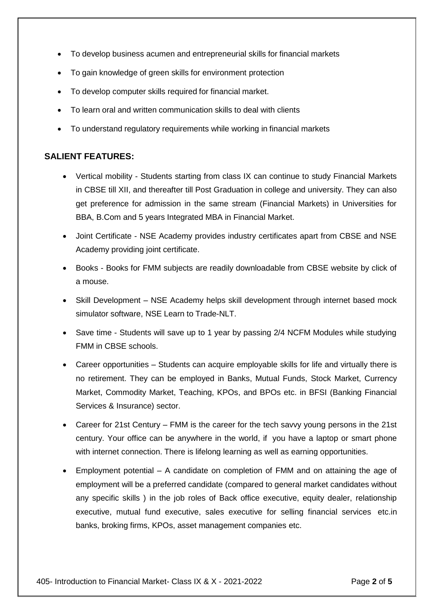- To develop business acumen and entrepreneurial skills for financial markets
- To gain knowledge of green skills for environment protection
- To develop computer skills required for financial market.
- To learn oral and written communication skills to deal with clients
- To understand regulatory requirements while working in financial markets

#### **SALIENT FEATURES:**

- Vertical mobility Students starting from class IX can continue to study Financial Markets in CBSE till XII, and thereafter till Post Graduation in college and university. They can also get preference for admission in the same stream (Financial Markets) in Universities for BBA, B.Com and 5 years Integrated MBA in Financial Market.
- Joint Certificate NSE Academy provides industry certificates apart from CBSE and NSE Academy providing joint certificate.
- Books Books for FMM subjects are readily downloadable from CBSE website by click of a mouse.
- Skill Development NSE Academy helps skill development through internet based mock simulator software, NSE Learn to Trade-NLT.
- Save time Students will save up to 1 year by passing 2/4 NCFM Modules while studying FMM in CBSE schools.
- Career opportunities Students can acquire employable skills for life and virtually there is no retirement. They can be employed in Banks, Mutual Funds, Stock Market, Currency Market, Commodity Market, Teaching, KPOs, and BPOs etc. in BFSI (Banking Financial Services & Insurance) sector.
- Career for 21st Century FMM is the career for the tech savvy young persons in the 21st century. Your office can be anywhere in the world, if you have a laptop or smart phone with internet connection. There is lifelong learning as well as earning opportunities.
- Employment potential A candidate on completion of FMM and on attaining the age of employment will be a preferred candidate (compared to general market candidates without any specific skills ) in the job roles of Back office executive, equity dealer, relationship executive, mutual fund executive, sales executive for selling financial services etc.in banks, broking firms, KPOs, asset management companies etc.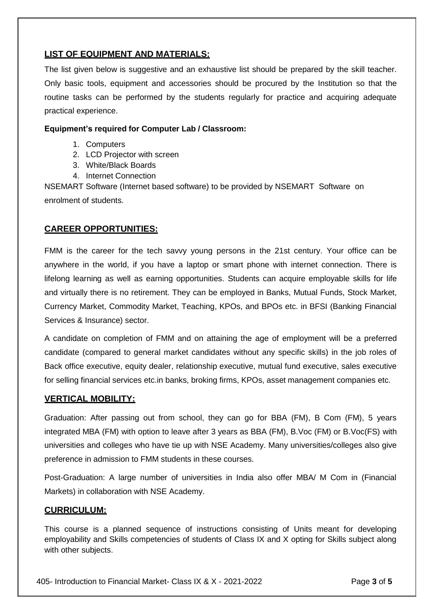#### **LIST OF EQUIPMENT AND MATERIALS:**

The list given below is suggestive and an exhaustive list should be prepared by the skill teacher. Only basic tools, equipment and accessories should be procured by the Institution so that the routine tasks can be performed by the students regularly for practice and acquiring adequate practical experience.

#### **Equipment's required for Computer Lab / Classroom:**

- 1. Computers
- 2. LCD Projector with screen
- 3. White/Black Boards
- 4. Internet Connection

NSEMART Software (Internet based software) to be provided by NSEMART Software on enrolment of students.

#### **CAREER OPPORTUNITIES:**

FMM is the career for the tech savvy young persons in the 21st century. Your office can be anywhere in the world, if you have a laptop or smart phone with internet connection. There is lifelong learning as well as earning opportunities. Students can acquire employable skills for life and virtually there is no retirement. They can be employed in Banks, Mutual Funds, Stock Market, Currency Market, Commodity Market, Teaching, KPOs, and BPOs etc. in BFSI (Banking Financial Services & Insurance) sector.

A candidate on completion of FMM and on attaining the age of employment will be a preferred candidate (compared to general market candidates without any specific skills) in the job roles of Back office executive, equity dealer, relationship executive, mutual fund executive, sales executive for selling financial services etc.in banks, broking firms, KPOs, asset management companies etc.

#### **VERTICAL MOBILITY:**

Graduation: After passing out from school, they can go for BBA (FM), B Com (FM), 5 years integrated MBA (FM) with option to leave after 3 years as BBA (FM), B.Voc (FM) or B.Voc(FS) with universities and colleges who have tie up with NSE Academy. Many universities/colleges also give preference in admission to FMM students in these courses.

Post-Graduation: A large number of universities in India also offer MBA/ M Com in (Financial Markets) in collaboration with NSE Academy.

#### **CURRICULUM:**

This course is a planned sequence of instructions consisting of Units meant for developing employability and Skills competencies of students of Class IX and X opting for Skills subject along with other subjects.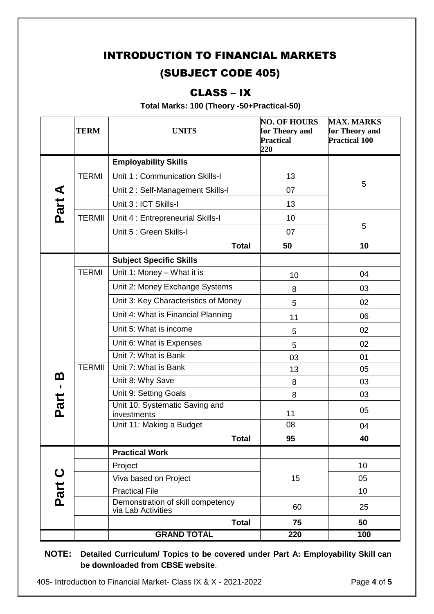## INTRODUCTION TO FINANCIAL MARKETS (SUBJECT CODE 405)

### CLASS – IX

**Total Marks: 100 (Theory -50+Practical-50)**

|                    | <b>TERM</b>   | <b>UNITS</b>                                            | <b>NO. OF HOURS</b><br>for Theory and<br><b>Practical</b><br>220 | <b>MAX. MARKS</b><br>for Theory and<br><b>Practical 100</b> |
|--------------------|---------------|---------------------------------------------------------|------------------------------------------------------------------|-------------------------------------------------------------|
| Part A             |               | <b>Employability Skills</b>                             |                                                                  |                                                             |
|                    | <b>TERMI</b>  | Unit 1: Communication Skills-I                          | 13                                                               |                                                             |
|                    |               | Unit 2: Self-Management Skills-I                        | 07                                                               | 5                                                           |
|                    |               | Unit 3 : ICT Skills-I                                   | 13                                                               |                                                             |
|                    | <b>TERMII</b> | Unit 4 : Entrepreneurial Skills-I                       | 10                                                               |                                                             |
|                    |               | Unit 5 : Green Skills-I                                 | 07                                                               | 5                                                           |
|                    |               | <b>Total</b>                                            | 50                                                               | 10                                                          |
|                    |               | <b>Subject Specific Skills</b>                          |                                                                  |                                                             |
|                    | <b>TERMI</b>  | Unit 1: Money - What it is                              | 10                                                               | 04                                                          |
|                    |               | Unit 2: Money Exchange Systems                          | 8                                                                | 03                                                          |
|                    |               | Unit 3: Key Characteristics of Money                    | 5                                                                | 02                                                          |
|                    |               | Unit 4: What is Financial Planning                      | 11                                                               | 06                                                          |
|                    |               | Unit 5: What is income                                  | 5                                                                | 02                                                          |
|                    |               | Unit 6: What is Expenses                                | 5                                                                | 02                                                          |
|                    |               | Unit 7: What is Bank                                    | 03                                                               | 01                                                          |
|                    | <b>TERMII</b> | Unit 7: What is Bank                                    | 13                                                               | 05                                                          |
| <u>ന</u><br>Part - |               | Unit 8: Why Save                                        | 8                                                                | 03                                                          |
|                    |               | Unit 9: Setting Goals                                   | 8                                                                | 03                                                          |
|                    |               | Unit 10: Systematic Saving and<br>investments           | 11                                                               | 05                                                          |
|                    |               | Unit 11: Making a Budget                                | 08                                                               | 04                                                          |
|                    |               | <b>Total</b>                                            | 95                                                               | 40                                                          |
| Part C             |               | <b>Practical Work</b>                                   |                                                                  |                                                             |
|                    |               | Project                                                 |                                                                  | 10                                                          |
|                    |               | Viva based on Project                                   | 15                                                               | 05                                                          |
|                    |               | <b>Practical File</b>                                   |                                                                  | 10                                                          |
|                    |               | Demonstration of skill competency<br>via Lab Activities | 60                                                               | 25                                                          |
|                    |               | <b>Total</b>                                            | 75                                                               | 50                                                          |
|                    |               | <b>GRAND TOTAL</b>                                      | 220                                                              | 100                                                         |

**NOTE: Detailed Curriculum/ Topics to be covered under Part A: Employability Skill can be downloaded from CBSE website**.

405- Introduction to Financial Market- Class IX & X - 2021-2022 Page **4** of **5**